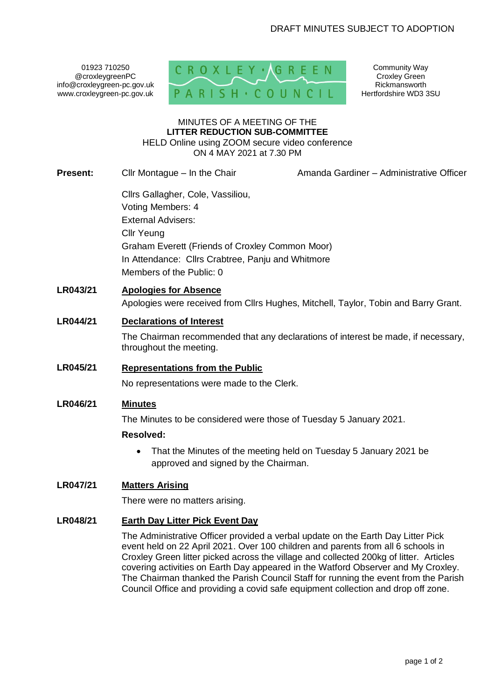01923 710250 @croxleygreenPC info@croxleygreen-pc.gov.uk www.croxleygreen-pc.gov.uk



Community Way Croxley Green Rickmansworth Hertfordshire WD3 3SU

#### MINUTES OF A MEETING OF THE **LITTER REDUCTION SUB-COMMITTEE** HELD Online using ZOOM secure video conference ON 4 MAY 2021 at 7.30 PM

**Present:** Cllr Montague – In the Chair **Amanda Gardiner – Administrative Officer** Cllrs Gallagher, Cole, Vassiliou, Voting Members: 4 External Advisers: Cllr Yeung Graham Everett (Friends of Croxley Common Moor) In Attendance: Cllrs Crabtree, Panju and Whitmore Members of the Public: 0 **LR043/21 Apologies for Absence** Apologies were received from Cllrs Hughes, Mitchell, Taylor, Tobin and Barry Grant. **LR044/21 Declarations of Interest**  The Chairman recommended that any declarations of interest be made, if necessary, throughout the meeting.

# **LR045/21 Representations from the Public**

No representations were made to the Clerk.

# **LR046/21 Minutes**

The Minutes to be considered were those of Tuesday 5 January 2021.

# **Resolved:**

• That the Minutes of the meeting held on Tuesday 5 January 2021 be approved and signed by the Chairman.

# **LR047/21 Matters Arising**

There were no matters arising.

# **LR048/21 Earth Day Litter Pick Event Day**

The Administrative Officer provided a verbal update on the Earth Day Litter Pick event held on 22 April 2021. Over 100 children and parents from all 6 schools in Croxley Green litter picked across the village and collected 200kg of litter. Articles covering activities on Earth Day appeared in the Watford Observer and My Croxley. The Chairman thanked the Parish Council Staff for running the event from the Parish Council Office and providing a covid safe equipment collection and drop off zone.